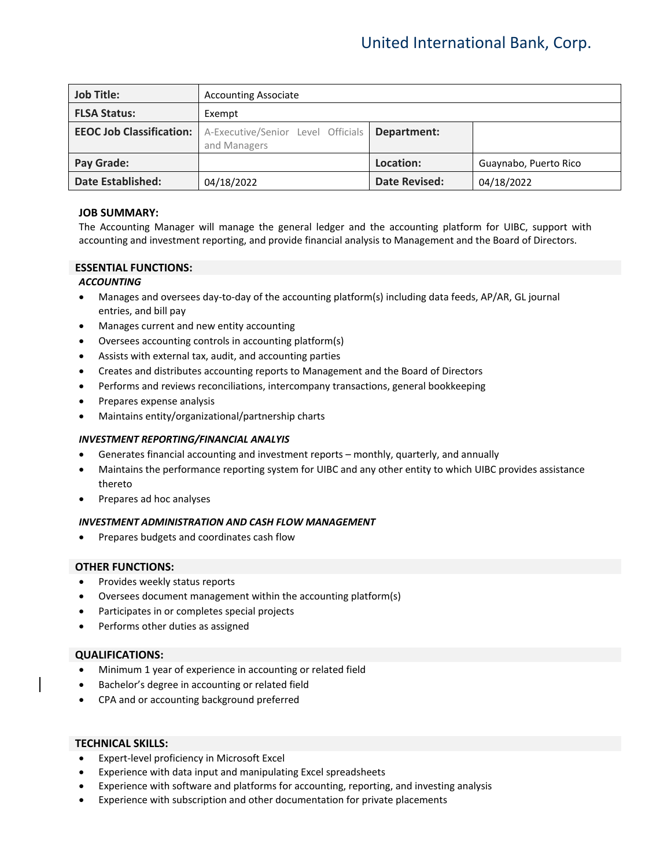| <b>Job Title:</b>               | <b>Accounting Associate</b>                        |                      |                       |
|---------------------------------|----------------------------------------------------|----------------------|-----------------------|
| <b>FLSA Status:</b>             | Exempt                                             |                      |                       |
| <b>EEOC Job Classification:</b> | A-Executive/Senior Level Officials<br>and Managers | Department:          |                       |
| <b>Pay Grade:</b>               |                                                    | Location:            | Guaynabo, Puerto Rico |
| <b>Date Established:</b>        | 04/18/2022                                         | <b>Date Revised:</b> | 04/18/2022            |

## **JOB SUMMARY:**

The Accounting Manager will manage the general ledger and the accounting platform for UIBC, support with accounting and investment reporting, and provide financial analysis to Management and the Board of Directors.

## **ESSENTIAL FUNCTIONS:**

## *ACCOUNTING*

- Manages and oversees day-to-day of the accounting platform(s) including data feeds, AP/AR, GL journal entries, and bill pay
- Manages current and new entity accounting
- Oversees accounting controls in accounting platform(s)
- Assists with external tax, audit, and accounting parties
- Creates and distributes accounting reports to Management and the Board of Directors
- Performs and reviews reconciliations, intercompany transactions, general bookkeeping
- Prepares expense analysis
- Maintains entity/organizational/partnership charts

## *INVESTMENT REPORTING/FINANCIAL ANALYIS*

- Generates financial accounting and investment reports monthly, quarterly, and annually
- Maintains the performance reporting system for UIBC and any other entity to which UIBC provides assistance thereto
- Prepares ad hoc analyses

## *INVESTMENT ADMINISTRATION AND CASH FLOW MANAGEMENT*

• Prepares budgets and coordinates cash flow

## **OTHER FUNCTIONS:**

- Provides weekly status reports
- Oversees document management within the accounting platform(s)
- Participates in or completes special projects
- Performs other duties as assigned

## **QUALIFICATIONS:**

- Minimum 1 year of experience in accounting or related field
- Bachelor's degree in accounting or related field
- CPA and or accounting background preferred

#### **TECHNICAL SKILLS:**

- Expert-level proficiency in Microsoft Excel
- Experience with data input and manipulating Excel spreadsheets
- Experience with software and platforms for accounting, reporting, and investing analysis
- Experience with subscription and other documentation for private placements